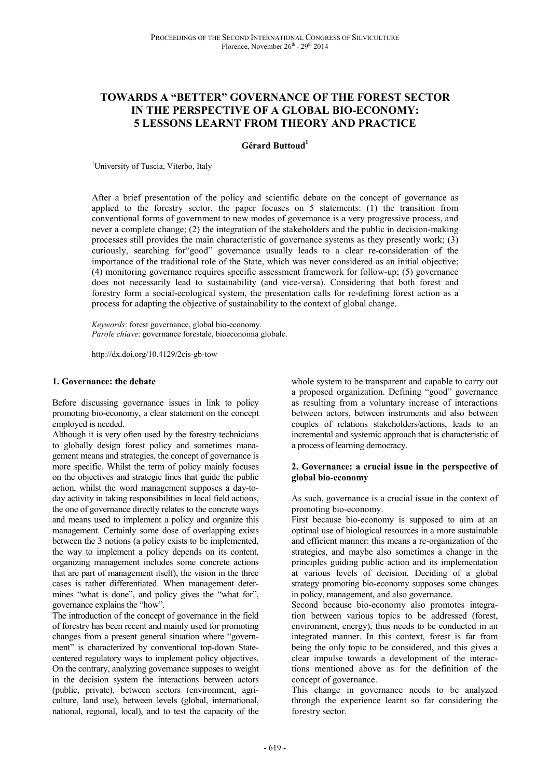# **TOWARDS A "BETTER" GOVERNANCE OF THE FOREST SECTOR IN THE PERSPECTIVE OF A GLOBAL BIO-ECONOMY: 5 LESSONS LEARNT FROM THEORY AND PRACTICE**

# **Gérard Buttoud<sup>1</sup>**

<sup>1</sup>University of Tuscia, Viterbo, Italy

After a brief presentation of the policy and scientific debate on the concept of governance as applied to the forestry sector, the paper focuses on 5 statements: (1) the transition from conventional forms of government to new modes of governance is a very progressive process, and never a complete change; (2) the integration of the stakeholders and the public in decision-making processes still provides the main characteristic of governance systems as they presently work; (3) curiously, searching for"good" governance usually leads to a clear re-consideration of the importance of the traditional role of the State, which was never considered as an initial objective; (4) monitoring governance requires specific assessment framework for follow-up; (5) governance does not necessarily lead to sustainability (and vice-versa). Considering that both forest and forestry form a social-ecological system, the presentation calls for re-defining forest action as a process for adapting the objective of sustainability to the context of global change.

*Keywords*: forest governance, global bio-economy. *Parole chiave*: governance forestale, bioeconomia globale.

http://dx.doi.org/10.4129/2cis-gb-tow

#### **1. Governance: the debate**

Before discussing governance issues in link to policy promoting bio-economy, a clear statement on the concept employed is needed.

Although it is very often used by the forestry technicians to globally design forest policy and sometimes management means and strategies, the concept of governance is more specific. Whilst the term of policy mainly focuses on the objectives and strategic lines that guide the public action, whilst the word management supposes a day-today activity in taking responsibilities in local field actions, the one of governance directly relates to the concrete ways and means used to implement a policy and organize this management. Certainly some dose of overlapping exists between the 3 notions (a policy exists to be implemented, the way to implement a policy depends on its content, organizing management includes some concrete actions that are part of management itself), the vision in the three cases is rather differentiated. When management determines "what is done", and policy gives the "what for", governance explains the "how".

The introduction of the concept of governance in the field of forestry has been recent and mainly used for promoting changes from a present general situation where "government" is characterized by conventional top-down Statecentered regulatory ways to implement policy objectives. On the contrary, analyzing governance supposes to weight in the decision system the interactions between actors (public, private), between sectors (environment, agriculture, land use), between levels (global, international, national, regional, local), and to test the capacity of the

whole system to be transparent and capable to carry out a proposed organization. Defining "good" governance as resulting from a voluntary increase of interactions between actors, between instruments and also between couples of relations stakeholders/actions, leads to an incremental and systemic approach that is characteristic of a process of learning democracy.

#### **2. Governance: a crucial issue in the perspective of global bio-economy**

As such, governance is a crucial issue in the context of promoting bio-economy.

First because bio-economy is supposed to aim at an optimal use of biological resources in a more sustainable and efficient manner: this means a re-organization of the strategies, and maybe also sometimes a change in the principles guiding public action and its implementation at various levels of decision. Deciding of a global strategy promoting bio-economy supposes some changes in policy, management, and also governance.

Second because bio-economy also promotes integration between various topics to be addressed (forest, environment, energy), thus needs to be conducted in an integrated manner. In this context, forest is far from being the only topic to be considered, and this gives a clear impulse towards a development of the interactions mentioned above as for the definition of the concept of governance.

This change in governance needs to be analyzed through the experience learnt so far considering the forestry sector.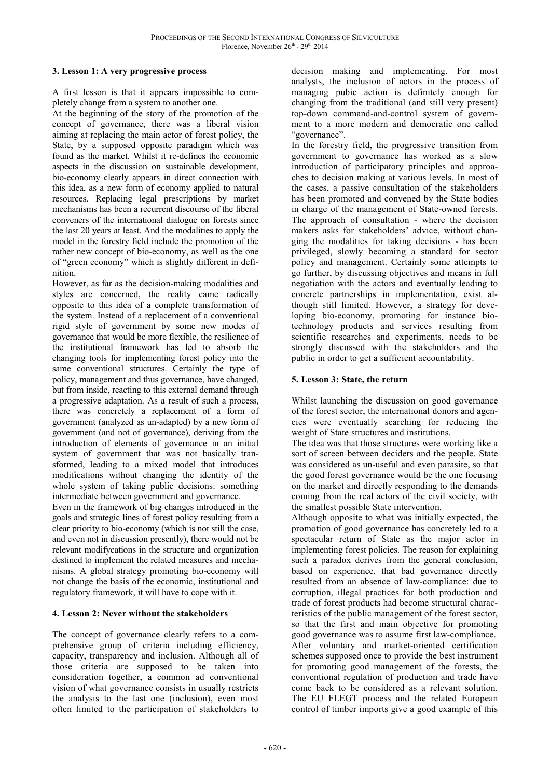# **3. Lesson 1: A very progressive process**

A first lesson is that it appears impossible to completely change from a system to another one.

At the beginning of the story of the promotion of the concept of governance, there was a liberal vision aiming at replacing the main actor of forest policy, the State, by a supposed opposite paradigm which was found as the market. Whilst it re-defines the economic aspects in the discussion on sustainable development, bio-economy clearly appears in direct connection with this idea, as a new form of economy applied to natural resources. Replacing legal prescriptions by market mechanisms has been a recurrent discourse of the liberal conveners of the international dialogue on forests since the last 20 years at least. And the modalities to apply the model in the forestry field include the promotion of the rather new concept of bio-economy, as well as the one of "green economy" which is slightly different in definition.

However, as far as the decision-making modalities and styles are concerned, the reality came radically opposite to this idea of a complete transformation of the system. Instead of a replacement of a conventional rigid style of government by some new modes of governance that would be more flexible, the resilience of the institutional framework has led to absorb the changing tools for implementing forest policy into the same conventional structures. Certainly the type of policy, management and thus governance, have changed, but from inside, reacting to this external demand through a progressive adaptation. As a result of such a process, there was concretely a replacement of a form of government (analyzed as un-adapted) by a new form of government (and not of governance), deriving from the introduction of elements of governance in an initial system of government that was not basically transformed, leading to a mixed model that introduces modifications without changing the identity of the whole system of taking public decisions: something intermediate between government and governance.

Even in the framework of big changes introduced in the goals and strategic lines of forest policy resulting from a clear priority to bio-economy (which is not still the case, and even not in discussion presently), there would not be relevant modifycations in the structure and organization destined to implement the related measures and mechanisms. A global strategy promoting bio-economy will not change the basis of the economic, institutional and regulatory framework, it will have to cope with it.

# **4. Lesson 2: Never without the stakeholders**

The concept of governance clearly refers to a comprehensive group of criteria including efficiency, capacity, transparency and inclusion. Although all of those criteria are supposed to be taken into consideration together, a common ad conventional vision of what governance consists in usually restricts the analysis to the last one (inclusion), even most often limited to the participation of stakeholders to

decision making and implementing. For most analysts, the inclusion of actors in the process of managing pubic action is definitely enough for changing from the traditional (and still very present) top-down command-and-control system of government to a more modern and democratic one called "governance".

In the forestry field, the progressive transition from government to governance has worked as a slow introduction of participatory principles and approaches to decision making at various levels. In most of the cases, a passive consultation of the stakeholders has been promoted and convened by the State bodies in charge of the management of State-owned forests. The approach of consultation - where the decision makers asks for stakeholders' advice, without changing the modalities for taking decisions - has been privileged, slowly becoming a standard for sector policy and management. Certainly some attempts to go further, by discussing objectives and means in full negotiation with the actors and eventually leading to concrete partnerships in implementation, exist although still limited. However, a strategy for developing bio-economy, promoting for instance biotechnology products and services resulting from scientific researches and experiments, needs to be strongly discussed with the stakeholders and the public in order to get a sufficient accountability.

# **5. Lesson 3: State, the return**

Whilst launching the discussion on good governance of the forest sector, the international donors and agencies were eventually searching for reducing the weight of State structures and institutions.

The idea was that those structures were working like a sort of screen between deciders and the people. State was considered as un-useful and even parasite, so that the good forest governance would be the one focusing on the market and directly responding to the demands coming from the real actors of the civil society, with the smallest possible State intervention.

Although opposite to what was initially expected, the promotion of good governance has concretely led to a spectacular return of State as the major actor in implementing forest policies. The reason for explaining such a paradox derives from the general conclusion, based on experience, that bad governance directly resulted from an absence of law-compliance: due to corruption, illegal practices for both production and trade of forest products had become structural characteristics of the public management of the forest sector, so that the first and main objective for promoting good governance was to assume first law-compliance. After voluntary and market-oriented certification schemes supposed once to provide the best instrument for promoting good management of the forests, the conventional regulation of production and trade have come back to be considered as a relevant solution. The EU FLEGT process and the related European control of timber imports give a good example of this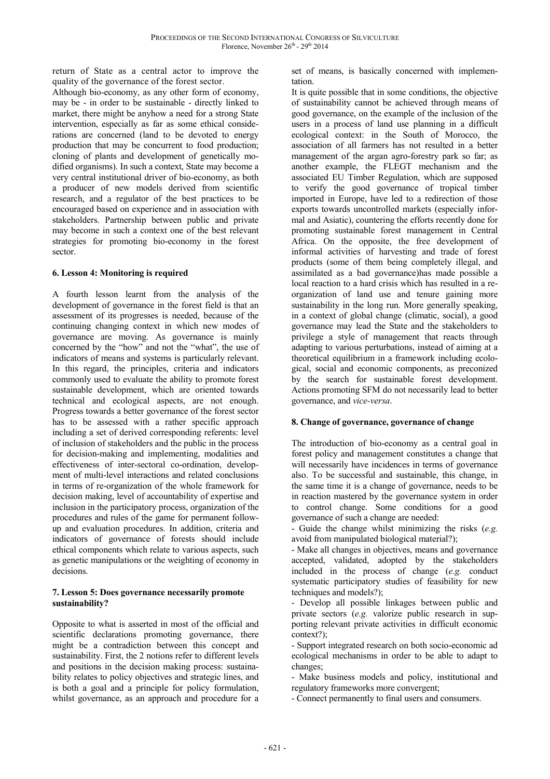return of State as a central actor to improve the quality of the governance of the forest sector.

Although bio-economy, as any other form of economy, may be - in order to be sustainable - directly linked to market, there might be anyhow a need for a strong State intervention, especially as far as some ethical considerations are concerned (land to be devoted to energy production that may be concurrent to food production; cloning of plants and development of genetically modified organisms). In such a context, State may become a very central institutional driver of bio-economy, as both a producer of new models derived from scientific research, and a regulator of the best practices to be encouraged based on experience and in association with stakeholders. Partnership between public and private may become in such a context one of the best relevant strategies for promoting bio-economy in the forest sector.

# **6. Lesson 4: Monitoring is required**

A fourth lesson learnt from the analysis of the development of governance in the forest field is that an assessment of its progresses is needed, because of the continuing changing context in which new modes of governance are moving. As governance is mainly concerned by the "how" and not the "what", the use of indicators of means and systems is particularly relevant. In this regard, the principles, criteria and indicators commonly used to evaluate the ability to promote forest sustainable development, which are oriented towards technical and ecological aspects, are not enough. Progress towards a better governance of the forest sector has to be assessed with a rather specific approach including a set of derived corresponding referents: level of inclusion of stakeholders and the public in the process for decision-making and implementing, modalities and effectiveness of inter-sectoral co-ordination, development of multi-level interactions and related conclusions in terms of re-organization of the whole framework for decision making, level of accountability of expertise and inclusion in the participatory process, organization of the procedures and rules of the game for permanent followup and evaluation procedures. In addition, criteria and indicators of governance of forests should include ethical components which relate to various aspects, such as genetic manipulations or the weighting of economy in decisions.

# **7. Lesson 5: Does governance necessarily promote sustainability?**

Opposite to what is asserted in most of the official and scientific declarations promoting governance, there might be a contradiction between this concept and sustainability. First, the 2 notions refer to different levels and positions in the decision making process: sustainability relates to policy objectives and strategic lines, and is both a goal and a principle for policy formulation, whilst governance, as an approach and procedure for a

set of means, is basically concerned with implementation.

It is quite possible that in some conditions, the objective of sustainability cannot be achieved through means of good governance, on the example of the inclusion of the users in a process of land use planning in a difficult ecological context: in the South of Morocco, the association of all farmers has not resulted in a better management of the argan agro-forestry park so far; as another example, the FLEGT mechanism and the associated EU Timber Regulation, which are supposed to verify the good governance of tropical timber imported in Europe, have led to a redirection of those exports towards uncontrolled markets (especially informal and Asiatic), countering the efforts recently done for promoting sustainable forest management in Central Africa. On the opposite, the free development of informal activities of harvesting and trade of forest products (some of them being completely illegal, and assimilated as a bad governance)has made possible a local reaction to a hard crisis which has resulted in a reorganization of land use and tenure gaining more sustainability in the long run. More generally speaking, in a context of global change (climatic, social), a good governance may lead the State and the stakeholders to privilege a style of management that reacts through adapting to various perturbations, instead of aiming at a theoretical equilibrium in a framework including ecological, social and economic components, as preconized by the search for sustainable forest development. Actions promoting SFM do not necessarily lead to better governance, and *vice-versa*.

# **8. Change of governance, governance of change**

The introduction of bio-economy as a central goal in forest policy and management constitutes a change that will necessarily have incidences in terms of governance also. To be successful and sustainable, this change, in the same time it is a change of governance, needs to be in reaction mastered by the governance system in order to control change. Some conditions for a good governance of such a change are needed:

- Guide the change whilst minimizing the risks (*e.g.* avoid from manipulated biological material?);

- Make all changes in objectives, means and governance accepted, validated, adopted by the stakeholders included in the process of change (*e.g.* conduct systematic participatory studies of feasibility for new techniques and models?);

- Develop all possible linkages between public and private sectors (*e.g.* valorize public research in supporting relevant private activities in difficult economic context?);

- Support integrated research on both socio-economic ad ecological mechanisms in order to be able to adapt to changes;

- Make business models and policy, institutional and regulatory frameworks more convergent;

- Connect permanently to final users and consumers.